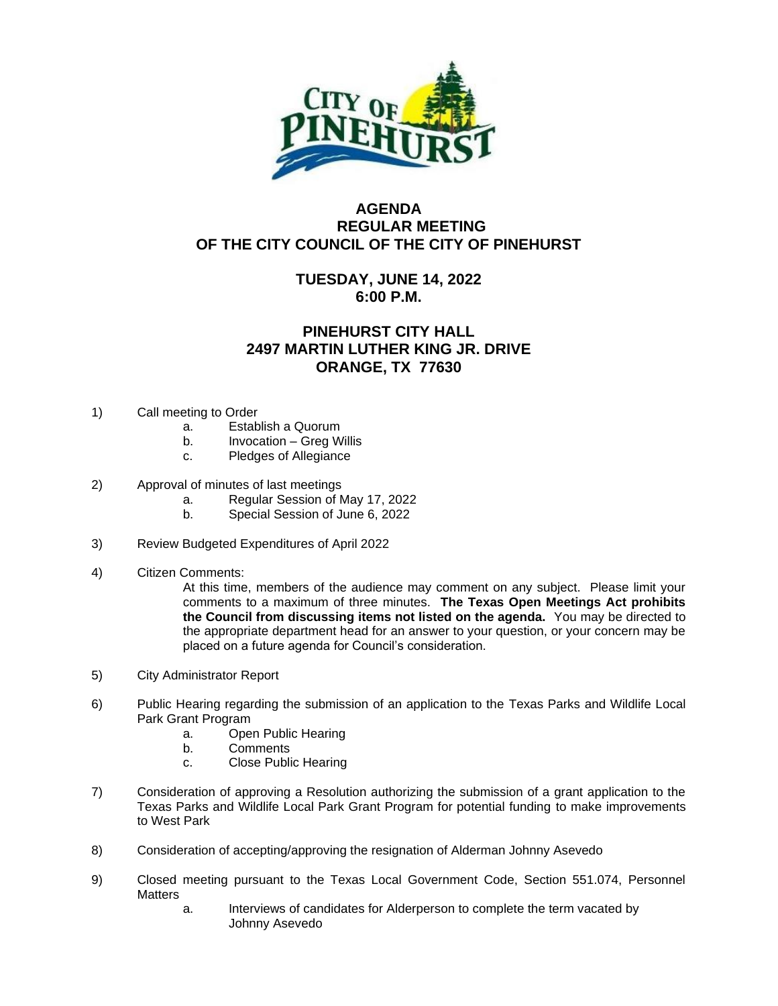

## **AGENDA REGULAR MEETING OF THE CITY COUNCIL OF THE CITY OF PINEHURST**

## **TUESDAY, JUNE 14, 2022 6:00 P.M.**

## **PINEHURST CITY HALL 2497 MARTIN LUTHER KING JR. DRIVE ORANGE, TX 77630**

- 1) Call meeting to Order
	- a. Establish a Quorum
	- b. Invocation Greg Willis
	- c. Pledges of Allegiance
- 2) Approval of minutes of last meetings
	- a. Regular Session of May 17, 2022
	- b. Special Session of June 6, 2022
- 3) Review Budgeted Expenditures of April 2022
- 4) Citizen Comments:

At this time, members of the audience may comment on any subject. Please limit your comments to a maximum of three minutes. **The Texas Open Meetings Act prohibits the Council from discussing items not listed on the agenda.** You may be directed to the appropriate department head for an answer to your question, or your concern may be placed on a future agenda for Council's consideration.

- 5) City Administrator Report
- 6) Public Hearing regarding the submission of an application to the Texas Parks and Wildlife Local Park Grant Program
	- a. Open Public Hearing
	- b. Comments
	- c. Close Public Hearing
- 7) Consideration of approving a Resolution authorizing the submission of a grant application to the Texas Parks and Wildlife Local Park Grant Program for potential funding to make improvements to West Park
- 8) Consideration of accepting/approving the resignation of Alderman Johnny Asevedo
- 9) Closed meeting pursuant to the Texas Local Government Code, Section 551.074, Personnel **Matters** 
	- a. Interviews of candidates for Alderperson to complete the term vacated by Johnny Asevedo